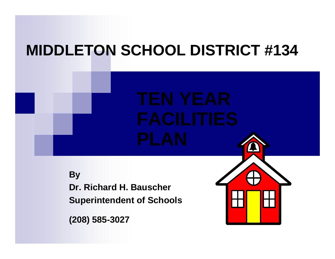# **MIDDLETON SCHOOL DISTRICT #134**

**By Dr. Richard H. BauscherSuperintendent of Schools**

**(208) 585-3027**

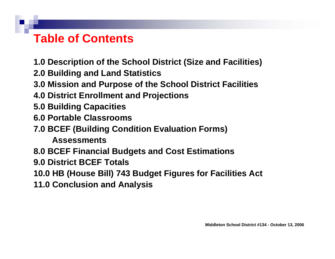# **Table of Contents**

**1.0 Description of the School District (Size and Facilities)**

- **2.0 Building and Land Statistic s**
- **3.0 Mission and Pur pose of the School District Facilities**
- **4.0 District Enrollment and Projections**
- **5.0 Building Capacities**
- **6.0 Portable Classrooms**
- **7.0 BCEF (Building Condition Evaluation Forms)** 
	- **Assessments**
- **8.0 BCEF Financial Budgets and Cost Estimations**
- **9.0 District BCEF Totals**
- **10.0 HB (House Bill) 743 Budget Figures for Facilities Act**
- **11.0 Conclusion and Analysis**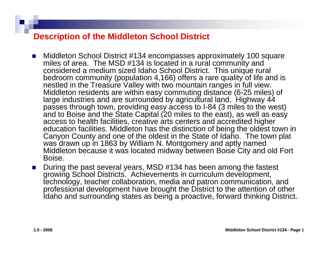#### **Description of the Middleton School District**

- $\sim$  Middleton School District #134 encompasses approximately 100 square miles of area. The MSD #134 is located in a rural community and considered a medium sized Idaho School District. This unique rural bedroom community (population 4,166) offers a rare quality of life and is nestled in the Treasure Valley with two mountain ranges in full view. Middleton residents are within easy commuting distance (6-25 miles) of large industries and are surrounded by agricultural land. Highway 44 passes through town, providing easy access to I-84 (3 miles to the west) and to Boise and the State Capital (20 miles to the east), as well as easy access to healt h facilities, creative arts centers and accredited higher education facilities. Middleton has the distinction of being the oldest town in Canyon County and one of the oldest in the State of Idaho. The town plat was drawn up in 1863 by William N. Montgomery and aptly named Middleton because it was located midway between Boise City and old Fort Boise.
- $\mathcal{L}_{\mathcal{A}}$  During the past several years, MSD #134 has been among the fastest growing School Districts. Achievements in curriculum development, technology, teacher collaboration, media and patron communication, and professional development have brought the District to the attention of other Idaho and surrounding states as being a proactive, forward thinking District.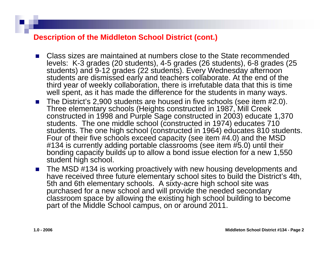#### **Description of the Middleton School District (cont.)**

- × Class sizes are maintained at numbers close to the State recommended levels: K-3 grades (20 students), 4-5 grades (26 students), 6-8 grades (25 students) and 9-12 grades (22 students). Every Wednesday afternoon students are dismissed early and teachers collaborate. At the end of the third year of weekly collaboration, there is irrefutable data that this is time well spent, as it has made the difference for the students in many ways.
- The District's 2,900 students are housed in five schools (see item #2.0). Three elementary schools (Heights constructed in 1987, Mill Creek constructed in 1998 and Purple Sage constructed in 2003) educate 1,370 students. The one middle school (constructed in 1974) educates 710 students. The one high school (constructed in 1964) educates 810 students. Four of their five schools exceed capacity (see item #4.0) and the MSD #134 is currently adding portable classrooms (see item #5.0) until their bonding capacity builds up to allow a bond issue election for a new 1,550 student high school.
- The MSD #134 is working proactively with new housing developments and have received three future elementary school sites to build the District's 4th, 5th and 6th elementary schools. A sixty-acre high school site was purchased for a new school and will provide the needed secondary classroom space by allowing the existing high school building to become part of the Middle School campus, on or around 2011.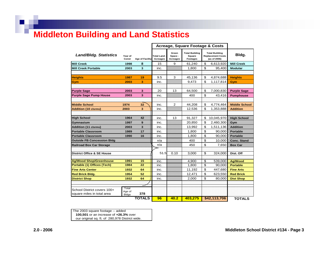## **Middleton Building and Lan d Statistics**

|                                       |                        |                        |                               |                              |                                                    | <b>Acreage, Square Footage &amp; Costs</b>                        |                      |
|---------------------------------------|------------------------|------------------------|-------------------------------|------------------------------|----------------------------------------------------|-------------------------------------------------------------------|----------------------|
| <b>Land/Bldg. Statistics</b>          | Year of<br>Const       | <b>Age of Facility</b> | <b>Total Land</b><br>Acreages | Green<br>Space -<br>Acreages | <b>Total Building</b><br>Square<br><b>Footages</b> | <b>Total Building</b><br><b>Replacement Costs</b><br>(as of 2006) | Bldg.                |
| <b>Mill Creek</b>                     | 1998                   | 8                      | 15                            | 9                            | 61,240                                             | \$<br>6,613,920                                                   | <b>Mill Creek</b>    |
| <b>Mill Creek Portable</b>            | 2003                   | 3                      | inc.                          |                              | 1,800                                              | \$<br>95,400                                                      | <b>Modular</b>       |
|                                       |                        |                        |                               |                              |                                                    |                                                                   |                      |
| <b>Heights</b>                        | 1987                   | 19                     | 9.5                           | 3                            | 45,136                                             | \$<br>4,874,688                                                   | <b>Heights</b>       |
| Gym                                   | 2003                   | 3                      | inc.                          |                              | 9,473                                              | \$<br>1,117,814                                                   | Gym                  |
|                                       |                        |                        |                               |                              |                                                    |                                                                   |                      |
| <b>Purple Sage</b>                    | 2003                   | 3                      | 20                            | 13                           | 64,500                                             | \$<br>7.000.830                                                   | <b>Purple Sage</b>   |
| <b>Purple Sage Pump House</b>         | 2003                   | 3                      | inc.                          |                              | 400                                                | \$<br>43,416                                                      | <b>Pumphouse</b>     |
|                                       |                        |                        |                               |                              |                                                    |                                                                   |                      |
| <b>Middle School</b>                  | 1974                   | 32                     | inc.                          | $\overline{2}$               | 44,208                                             | \$<br>4,774,464                                                   | <b>Middle School</b> |
| <b>Addition (10 clsrms)</b>           | 2003                   | 3                      | inc.                          |                              | 12,536                                             | \$<br>1,353,888                                                   | <b>Addition</b>      |
|                                       |                        |                        |                               |                              |                                                    |                                                                   |                      |
| <b>High School</b>                    | 1964                   | 42                     | inc.                          | 13                           | 91.327                                             | \$<br>10,045,970                                                  | <b>High School</b>   |
| Gymnasium                             | 1997                   | 9                      | inc.                          |                              | 20,850                                             | \$<br>2,460,300                                                   | Gym                  |
| <b>Addition (11 clsrms)</b>           | 2003                   | 3                      | inc.                          |                              | 13,992                                             | \$<br>1,511,136                                                   | <b>Addition</b>      |
| <b>Portable Classroom</b>             | 1989                   | 17                     | inc.                          |                              | 1,800                                              | \$<br>90,000                                                      | <b>Portable</b>      |
| <b>Portable Classroom</b>             | 1990                   | 16                     | inc.                          |                              | 1,800                                              | \$<br>90,000                                                      | <b>Portable</b>      |
| <b>Outside FB Concession Bldg</b>     |                        |                        | n/a                           |                              | 400                                                | \$<br>10,000                                                      | <b>Conc. Stand</b>   |
| <b>Railroad Box Car Storage</b>       |                        |                        | n/a                           |                              | 450                                                | \$<br>7,650                                                       | <b>Box Car</b>       |
|                                       |                        |                        |                               |                              |                                                    |                                                                   |                      |
| <b>District Office &amp; SE House</b> |                        |                        | 51.5                          | 0.10                         | 3,000                                              | \$<br>324,000                                                     | Dist. Off            |
|                                       |                        |                        |                               |                              |                                                    |                                                                   |                      |
| <b>Ag/Wood Shop/Greenhouse</b>        | 1991                   | 15                     | inc.                          |                              | 4,900                                              | s,<br>539,000                                                     | <b>Ag/Wood</b>       |
| Portable (1) Offices (Tech)           | 1984                   | 22                     | inc.                          |                              | 1,800                                              | \$<br>90,000                                                      | <b>Portable</b>      |
| <b>Fine Arts Center</b>               | 1932                   | 64                     | inc.                          |                              | 11,192                                             | \$<br>447,680                                                     | <b>Fine Arts</b>     |
| <b>Red Brick Bldg.</b>                | 1954                   | 52                     | inc.                          |                              | 12,471                                             | \$<br>623,550                                                     | <b>Red Brick</b>     |
| <b>District Shop</b>                  | 1932                   | 64                     | inc.                          |                              | 2,000                                              | \$<br>80,000                                                      | <b>Dist Shop</b>     |
|                                       |                        |                        |                               |                              |                                                    |                                                                   |                      |
| School District covers 100+           | Total                  |                        |                               |                              |                                                    |                                                                   |                      |
| square miles in total area            | Age of<br><b>Bldgs</b> | 378                    |                               |                              |                                                    |                                                                   |                      |
|                                       |                        | <b>TOTALS</b>          | 96                            | 40.2                         | 403,275                                            | \$42,113,706                                                      | <b>TOTALS</b>        |

 **100,501** or an increase of **+26.3%** over our original sq. ft. of 280,978 District wide. The 2003 square footage -- added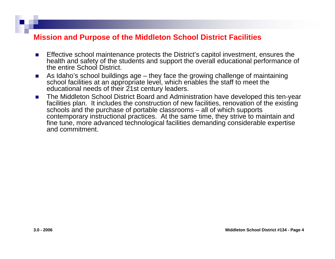#### **Mission and Purpose of the Middleton School District Facilities**

- r. Effective school maintenance protects the District's capitol investment, ensures the health and safety of the students and support the overall educational perfor mance of the entire School District.
- r. ■ As Idaho's school buildings age – they face the growing challenge of maintaining school facilities at an appropriate level, which enables the staff to meet the educational needs of their 21st century leaders.
- $\mathcal{L}_{\mathcal{A}}$  The Middleton School District Board and Administration have developed this ten-year facilities plan. It includes the construction of new facilities, renovation of the existing schools and the purchase of portable classrooms – all of which supports contemporary instructional practices. At the same time, they strive to maintain and fine tune, more advanced technological facilities demanding considerable expertise and commitment.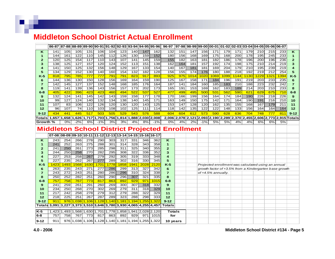#### **Middleton School District Actual Enrollment**

911 976 1,038 1,106 1,128 1,140 1,181 1,194 1,255 1,322 **10 ye ars**

|                  | 86-87 87-88 88-89 89-90 90-91 91-92 92-93 93-94 94-95 95-96 |                          |                  |                    |         |                         |                   |                  |                    |                  | 96-97                                                 |                  |                  |       | 97-98 98-99 99-00 00-01 01-02 02-03 03-04 04-05 05-06 06-07 |                  |                  |                  |                  |       |       |                |
|------------------|-------------------------------------------------------------|--------------------------|------------------|--------------------|---------|-------------------------|-------------------|------------------|--------------------|------------------|-------------------------------------------------------|------------------|------------------|-------|-------------------------------------------------------------|------------------|------------------|------------------|------------------|-------|-------|----------------|
| ĸ                | 141                                                         | 105                      | 105              | 131                | 106     | 104                     | 123               | 140              | 147                | 162              | 132                                                   | 151              | 147              | 156   | 171                                                         | 179              | 171              | 179              | 210              | 215   | 233   | κ              |
| 1                | 144                                                         | $\overline{161}$         | $\overline{122}$ | $\overline{110}$   | 145     | $\overline{112}$        | 126               | $\overline{130}$ | 159                | 152              | 180                                                   | 156              | 168              | 169   | $\overline{175}$                                            | 168              | 200              | $\overline{178}$ | 195              | 245   | 233   | 1              |
| 2                | 120                                                         | 125                      | 154              | 117                | 110     | 143                     | 107               | 141              | 145                | 159              | 155                                                   | 182              | 163              | 181   | 182                                                         | 186              | 178              | 196              | 200              | 196   | 236   | $\overline{2}$ |
| 3                | 138                                                         | 125                      | 127              | 157                | 120     | 124                     | $\overline{152}$  | 113              | 151                | 138              | 162                                                   | 164              | $\overline{181}$ | 157   | $\overline{192}$                                            | 174              | $\overline{198}$ | 175              | $\overline{210}$ | 214   | 219   | 3              |
| 4                | 141                                                         | 150                      | 125              | 132                | 156     | 148                     | 129               | 167              | 133                | 154              | 140                                                   | 167              | 181              | 181   | 169                                                         | 204              | 179              | 210              | 195              | 239   | 219   | 4              |
| 5                | 134                                                         | 129                      | 152              | 130                | 140     | 160                     | $\frac{154}{154}$ | 132              | 182                | 128              | 156                                                   | 155              | 174              | 176   | 180                                                         | 188              | 218              | 192              | $\overline{219}$ | 212   | 254   | 5              |
| $K-5$            | 818                                                         | 795                      | 785              | 777                | 777     | 791                     | 791               | 823              | 917                | 893              | 925                                                   | 975              | 1014             | 1020  | 1069                                                        | 1099             | 1144             | 1130             | 1229             | 1321  | 1394  | $K-5$          |
| 6                | 144                                                         | 136                      | 130              | 150                | 128     | 156                     | 169               | 164              | 159                | 190              | 125                                                   | 167              | 158              | 171   | 184                                                         | 196              | 191              | 219              | 203              | 233   | 235   | 6              |
| 7                | 142                                                         | 145                      | 127              | 137                | 152     | 148                     | 168               | 185              | 176                | 164              | 187                                                   | 141              | 184              | 160   | 185                                                         | 183              | 210              | 188              | 223              | 232   | 242   | $\overline{7}$ |
| 8                | 119                                                         | 141                      | 139              | 136                | 143     | 156                     | 157               | 173              | 202                | 173              | 165                                                   | 191              | 153              | 169   | 162                                                         | 183              | 189              | $\overline{214}$ | $\overline{203}$ | 210   | 233   | 8              |
| $6 - 8$          | 405                                                         | 422                      | 396              | 423                | 423     | <b>460</b>              | 494               | 522              | 537                | 527              | 477                                                   | 499              | 495              | 500   | 531                                                         | 562              | 590              | 621              | 629              | 675   | 710   | $6-8$          |
| 9                | 132                                                         | 124                      | 141              | 145                | 142     | 143                     | 159               | 158              | 177                | 178              | 170                                                   | 166              | 199              | 156   | 164                                                         | 174              | 184              | 190              | 226              | 218   | 226   | 9              |
| 10               | 99                                                          | $\overline{127}$         | $\overline{124}$ | 140                | 132     | 134                     | $\overline{138}$  | 140              | $\overline{145}$   | 171              | 163                                                   | $\overline{149}$ | 150              | 175   | $\overline{142}$                                            | $\overline{171}$ | 164              | 190              | 191              | 216   | 210   | 10             |
| 11               | 107                                                         | 83                       | 106              | 122                | 126     | 120                     | 130               | 120              | 143                | 125              | 153                                                   | 147              | 128              | 120   | 162                                                         | 135              | 155              | 168              | 167              | 179   | 211   | 11             |
| 12               | 96                                                          | 107                      | $\overline{74}$  | 110                | 103     | 108                     | 102               | 125              | 111                | $\overline{114}$ | $\overline{118}$                                      | 142              | 135              | 122   | $\overline{122}$                                            | 148              | 133              | 156              | 164              | 164   | 164   | 12             |
| $9 - 12$         | 434                                                         | 441                      | 445              | 517                | 503     | 505                     | 529               | 543              | 576                | 588              | 604                                                   | 604              | 612              | 573   | 590                                                         | 628              | 636              | 704              | 748              | 777   | 811   | $9 - 12$       |
| Totalsl          |                                                             | $1,657$ 1,658            | 1,626            | 1,717              | 1,703 1 | .756                    |                   | 1,814 1,888      | 2,030 2,008        |                  |                                                       |                  |                  |       | 2,006 2,078 2,121 2,093 2,190 2,289 2,370 2,455 2,606       |                  |                  |                  |                  | 2,773 | 2,915 | Totals         |
| Growth %         |                                                             | 0%                       | -2%              | 6%                 | $-1%$   | 3%                      | 3%                | 4%               | 8%                 | $-1%$            | 0%                                                    | 4%               | 2%               | $-1%$ | 5%                                                          | 5%               | 4%               | 4%               | 6%               | 6%    | 5%    |                |
|                  |                                                             |                          |                  |                    |         |                         |                   |                  |                    |                  | <b>Middleton School District Projected Enrollment</b> |                  |                  |       |                                                             |                  |                  |                  |                  |       |       |                |
|                  |                                                             |                          |                  |                    |         |                         |                   |                  |                    |                  |                                                       |                  |                  |       |                                                             |                  |                  |                  |                  |       |       |                |
|                  |                                                             |                          |                  |                    |         |                         |                   |                  |                    |                  |                                                       |                  |                  |       |                                                             |                  |                  |                  |                  |       |       |                |
|                  | 07-08 08-09 09-10 10-11 11-12 12-13 13-14 14-15 15-16 16-17 |                          |                  |                    |         |                         |                   |                  |                    |                  |                                                       |                  |                  |       |                                                             |                  |                  |                  |                  |       |       |                |
| ĸ                | 243                                                         | 254                      | 266              | 278                | 290     | 303                     | $\overline{317}$  | 331              | 346                | 362              | K                                                     |                  |                  |       |                                                             |                  |                  |                  |                  |       |       |                |
| 1                | 241                                                         | 252                      | 263              | 275                | 288     | 301                     | 314               | 328              | 343                | 358              | 1                                                     |                  |                  |       |                                                             |                  |                  |                  |                  |       |       |                |
| $\mathbf{z}$     | 241                                                         | 250                      | 261              | $\overline{273}$   | 285     | 298                     | $\overline{311}$  | 325              | 340                | 355              | $\overline{2}$                                        |                  |                  |       |                                                             |                  |                  |                  |                  |       |       |                |
| з                | 244                                                         | 250                      | 258              | 270                | 282     | 295                     | 308               | 322              | 336                | 352              | 3                                                     |                  |                  |       |                                                             |                  |                  |                  |                  |       |       |                |
| 4                | 227                                                         | 253                      | 258              | 267                | 279     | 292                     | 305               | 319              | 333                | 348              | $\overline{\bf{4}}$                                   |                  |                  |       |                                                             |                  |                  |                  |                  |       |       |                |
| 5                | 227                                                         | 235                      | 262              | 267                | 277     | 289                     | 302               | 316              | 330                | 345              | 5                                                     |                  |                  |       |                                                             |                  |                  |                  |                  |       |       |                |
| $K-5$            | 1423                                                        | 1493                     | 1568             | 1630               | 1701    | 1778                    | 1858              | 1941             | 2028               | 2120             | $K-5$                                                 |                  |                  |       | Projected enrollment was calculated using an annual         |                  |                  |                  |                  |       |       |                |
| 6                | 263                                                         | 235                      | 243              | 271                | 277     | 286                     | 299               | 313              | 327                | 342              | 6                                                     |                  |                  |       | growth factor of +3.5% from a Kindergarten base growth      |                  |                  |                  |                  |       |       |                |
| 7                | 243                                                         | 272                      | 243              | 251                | 280     | 286                     | 296               | 310              | 324                | 338              | $\overline{7}$                                        |                  |                  |       | of +4.5% annually.                                          |                  |                  |                  |                  |       |       |                |
| 8                | 250                                                         | 252                      | 282              | 251                | 260     | 290                     | 296               | 307              | 321                | 335              | 8                                                     |                  |                  |       |                                                             |                  |                  |                  |                  |       |       |                |
| 6-8              | 757                                                         | 758                      | 767              | 773                | 817     | 863                     | 892               | 929              | 971                | 1015             | 6-8                                                   |                  |                  |       |                                                             |                  |                  |                  |                  |       |       |                |
| 9                | 241                                                         | 259                      | 261              | 291                | 260     | 269                     | 300               | 307              | 318                | 332              | 9                                                     |                  |                  |       |                                                             |                  |                  |                  |                  |       |       |                |
| 10               | 234                                                         | 250                      | 268              | 270                | 302     | 269                     | 279               | 311              | 318                | 329              | 10                                                    |                  |                  |       |                                                             |                  |                  |                  |                  |       |       |                |
| 11               | 217                                                         | 242                      | 258              | 278                | 279     | 312                     | 279               | 288              | 322                | 329              | 11                                                    |                  |                  |       |                                                             |                  |                  |                  |                  |       |       |                |
| 12               | 218                                                         | 225                      | 251              | 267                | 287     | 289                     | 323               | 288              | 298                | 333              | 12                                                    |                  |                  |       |                                                             |                  |                  |                  |                  |       |       |                |
| $9 - 12$         | 911                                                         | 976                      | 1,038            | 1,106              | 1,128   | 1,140                   | ,181              | 1,194            | 255                | 1,322            | $9 - 12$                                              |                  |                  |       |                                                             |                  |                  |                  |                  |       |       |                |
| Totalst          | 3,091                                                       | 3.227                    | 3,373            | 3.510              |         | 3,646 3,780 3,930 4,065 |                   |                  | 4,255              | 4,457            | <b>Totals</b>                                         |                  |                  |       |                                                             |                  |                  |                  |                  |       |       |                |
| $K-5$<br>$6 - 8$ | 757                                                         | 1,423 1,493 1,568<br>758 | 767              | 1,630 1,701<br>773 | 817     | 1,778<br>863            | 1,858<br>892      | 1,941<br>929     | 2,028 2,120<br>971 | 1015             | <b>Totals</b><br>for                                  |                  |                  |       |                                                             |                  |                  |                  |                  |       |       |                |

**9-1 2**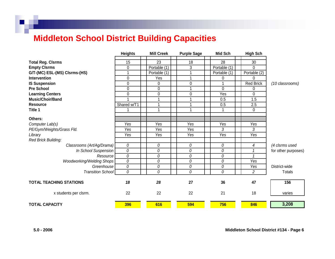## **Middleton School District Building Capacities**

|                                  | <b>Heights</b> | <b>Mill Creek</b> | <b>Purple Sage</b> | <b>Mid Sch</b> | <b>High Sch</b>  |                     |
|----------------------------------|----------------|-------------------|--------------------|----------------|------------------|---------------------|
| <b>Total Reg. Cisrms</b>         | 15             | 23                | 18                 | 28             | 30               |                     |
| <b>Empty Cisrms</b>              | $\Omega$       | Portable (1)      | 3                  | Portable (1)   | $\Omega$         |                     |
| G/T-(MC) ESL-(MS) Clsrms-(HS)    |                | Portable (1)      |                    | Portable (1)   | Portable (2)     |                     |
| Intervention                     | 0              | Yes               |                    | 0              | $\mathbf 0$      |                     |
| <b>IS Suspension</b>             | $\Omega$       | 0                 | 0                  |                | <b>Red Brick</b> |                     |
| <b>Pre School</b>                | 0              | $\mathbf 0$       |                    | 0              | 0                | (10 classrooms)     |
| <b>Learning Centers</b>          |                |                   |                    | Yes            | $\Omega$         |                     |
| <b>Music/Choir/Band</b>          | 0              | 0<br>1            | 0                  |                | 1.5              |                     |
|                                  |                |                   |                    | 0.5            |                  |                     |
| <b>Resource</b>                  | Shared w/T1    | 1                 |                    | 0.5            | 2.5              |                     |
| Title 1                          |                | 1                 |                    |                | 0                |                     |
| Others:                          |                |                   |                    |                |                  |                     |
| Computer Lab(s)                  | Yes            | Yes               | Yes                | Yes            | Yes              |                     |
| PE/Gym/Weights/Grass Fld.        | Yes            | Yes               | Yes                | 3              | 3                |                     |
| Library                          | Yes            | Yes               | Yes                | Yes            | Yes              |                     |
| Red Brick Building:              |                |                   |                    |                |                  |                     |
| Classrooms (Art/Ag/Drama)        | 0              | 0                 | 0                  | 0              | 4                | (4 clsrms used      |
| In School Suspension             | 0              | 0                 | 0                  | 0              |                  | for other purposes) |
| Resource                         | 0              | 0                 | 0                  | 0              |                  |                     |
| <b>Woodworking/Welding Shops</b> | 0              | 0                 | 0                  | 0              | Yes              |                     |
| Greenhouse                       | 0              | 0                 | 0                  | 0              | Yes              | District-wide       |
| <b>Transition School</b>         | 0              | 0                 | 0                  | 0              | $\overline{2}$   | <b>Totals</b>       |
|                                  |                |                   |                    |                |                  |                     |
| <b>TOTAL TEACHING STATIONS</b>   | 18             | 28                | 27                 | 36             | 47               | 156                 |
| x students per clsrm.            | 22             | 22                | 22                 | 21             | 18               | varies              |
| <b>TOTAL CAPACITY</b>            | 396            | 616               | 594                | 756            | 846              | 3,208               |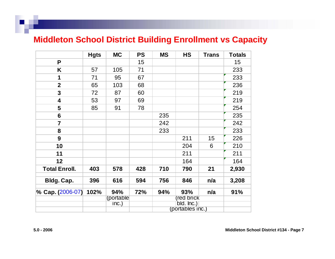#### **Middleton School District Building Enr ollment vs Capacity**

|                         | <b>Hgts</b> | <b>MC</b>  | <b>PS</b> | <b>MS</b> | <b>HS</b>                      | <b>Trans</b> | <b>Totals</b> |
|-------------------------|-------------|------------|-----------|-----------|--------------------------------|--------------|---------------|
| P                       |             |            | 15        |           |                                |              | 15            |
| K                       | 57          | 105        | 71        |           |                                |              | 233           |
| 1                       | 71          | 95         | 67        |           |                                |              | 233           |
| $\overline{2}$          | 65          | 103        | 68        |           |                                |              | 236           |
| $\overline{\mathbf{3}}$ | 72          | 87         | 60        |           |                                |              | 219           |
| 4                       | 53          | 97         | 69        |           |                                |              | 219           |
| 5                       | 85          | 91         | 78        |           |                                |              | 254           |
| $6\phantom{1}$          |             |            |           | 235       |                                |              | 235           |
| $\overline{7}$          |             |            |           | 242       |                                |              | 242           |
| 8                       |             |            |           | 233       |                                |              | 233           |
| 9                       |             |            |           |           | 211                            | 15           | 226           |
| 10                      |             |            |           |           | 204                            | 6            | 210           |
| 11                      |             |            |           |           | 211                            |              | 211           |
| 12                      |             |            |           |           | 164                            |              | 164           |
| <b>Total Enroll.</b>    | 403         | 578        | 428       | 710       | 790                            | 21           | 2,930         |
| Bldg. Cap.              | 396         | 616        | 594       | 756       | 846                            | n/a          | 3,208         |
| % Cap. (2006-07)        | 102%        | 94%        | 72%       | 94%       | 93%                            | n/a          | 91%           |
|                         |             | (portable) |           |           | (red brick                     |              |               |
|                         |             | inc.)      |           |           | bld. Inc.)<br>(portables inc.) |              |               |
|                         |             |            |           |           |                                |              |               |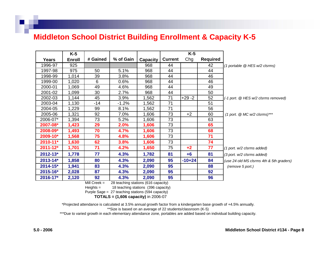#### **Middleton School District Building Enrollment & Capacity K-5**

|              | $K-5$         |          |           |                 |                | $K-5$     |                 |                                          |
|--------------|---------------|----------|-----------|-----------------|----------------|-----------|-----------------|------------------------------------------|
| Years        | <b>Enroll</b> | # Gained | % of Gain | <b>Capacity</b> | <b>Current</b> | Chg       | <b>Required</b> |                                          |
| 1996-97      | 925           |          |           | 968             | 44             |           | 42              | (1 portable @ HES w/2 clsrms)            |
| 1997-98      | 975           | 50       | 5.1%      | 968             | 44             |           | 44              |                                          |
| 1998-99      | 1,014         | 39       | 3.8%      | 968             | 44             |           | 46              |                                          |
| 1999-00      | 1,020         | 6        | 0.6%      | 968             | 44             |           | 46              |                                          |
| 2000-01      | 1,069         | 49       | 4.6%      | 968             | 44             |           | 49              |                                          |
| 2001-02      | 1,099         | 30       | 2.7%      | 968             | 44             |           | 50              |                                          |
| 2002-03      | 1,144         | 45       | 3.9%      | 1,562           | 71             | $+29 - 2$ | 52              | (-1 port. @ HES w/2 clsrms removed)      |
| 2003-04      | 1,130         | $-14$    | $-1.2\%$  | 1,562           | 71             |           | 51              |                                          |
| 2004-05      | ,229          | 99       | 8.1%      | 1,562           | 71             |           | 56              |                                          |
| 2005-06      | 1,321         | 92       | 7.0%      | 1,606           | 73             | $+2$      | 60              | $(1$ port. $@$ MC w/2 clsrms)***         |
| 2006-07*     | 1,394         | 73       | 5.2%      | 1,606           | 73             |           | 63              |                                          |
| 2007-08*     | 1,423         | 29       | 2.0%      | 1,606           | 73             |           | 65              |                                          |
| 2008-09*     | 1,493         | 70       | 4.7%      | 1,606           | 73             |           | 68              |                                          |
| 2009-10*     | 1,568         | 75       | 4.8%      | 1,606           | 73             |           | 71              |                                          |
| $2010 - 11*$ | 1,630         | 62       | 3.8%      | 1,606           | 73             |           | 74              |                                          |
| $2011 - 12*$ | 1,701         | 71       | 4.2%      | 1,650           | 75             | $+2$      | 77              | $(1$ port. $w/2$ clsrms added)           |
| $2012 - 13*$ | 1,778         | 77       | 4.3%      | 1,782           | 81             | $+6$      | 81              | (3 port. w/2 clsrms added)               |
| $2013 - 14*$ | 1,858         | 80       | 4.3%      | 2,090           | 95             | $-10+24$  | 84              | (use 24 old MS clsrms 4th & 5th graders) |
| $2014 - 15*$ | 1,941         | 83       | 4.3%      | 2,090           | 95             |           | 88              | (remove 5 port.)                         |
| 2015-16*     | 2,028         | 87       | 4.3%      | 2,090           | 95             |           | 92              |                                          |
| $2016 - 17$  | 2,120         | 92       | 4.3%      | 2,090           | 95             |           | 96              |                                          |

Mill Creek = 2828 teaching stations (616 capacity)

Heights = 18 teaching stations (396 capacity)

Purple Sage = 27 teaching stations (594 capacity)

 **TOTALS = (1,606 capa city)** in 2006-07

\*Projected attendance is calculated at 3.5% annual growth factor from <sup>a</sup> kindergarten base growth of +4.5% annually.

\*\*Size is based on an average of 22 students/classroo m (K-5)

\*\*\*Due to varied gro wth in each elementary attendance zone, portables are added based on individual building capacity.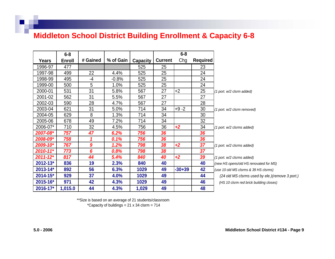#### **Middleton School District Building Enrollment & Capacity 6-8**

|              | $6 - 8$       |                  |           |                 |                | $6 - 8$  |                 |                                                  |
|--------------|---------------|------------------|-----------|-----------------|----------------|----------|-----------------|--------------------------------------------------|
| Years        | <b>Enroll</b> | # Gained         | % of Gain | <b>Capacity</b> | <b>Current</b> | Chg      | <b>Required</b> |                                                  |
| 1996-97      | 477           |                  |           | 525             | 25             |          | 23              |                                                  |
| 1997-98      | 499           | 22               | 4.4%      | 525             | 25             |          | 24              |                                                  |
| 1998-99      | 495           | $-4$             | $-0.8%$   | 525             | 25             |          | 24              |                                                  |
| 1999-00      | 500           | 5                | 1.0%      | 525             | 25             |          | 24              |                                                  |
| 2000-01      | 531           | 31               | 5.8%      | 567             | 27             | $+2$     | 25              | (1 port. w/2 clsrm added)                        |
| 2001-02      | 562           | 31               | 5.5%      | 567             | 27             |          | 27              |                                                  |
| 2002-03      | 590           | 28               | 4.7%      | 567             | 27             |          | 28              |                                                  |
| 2003-04      | 621           | 31               | 5.0%      | 714             | 34             | $+9 -2$  | 30              | (1 port. w/2 clsrm removed)                      |
| 2004-05      | 629           | 8                | 1.3%      | 714             | 34             |          | 30              |                                                  |
| 2005-06      | 678           | 49               | 7.2%      | 714             | 34             |          | 32              |                                                  |
| 2006-07*     | 710           | 32               | 4.5%      | 756             | 36             | $+2$     | 34              | (1 port. w/2 clsrms added)                       |
| 2007-08*     | 757           | 47               | 6.2%      | 756             | 36             |          | 36              |                                                  |
| 2008-09*     | 758           | 1                | 0.1%      | 756             | 36             |          | 36              |                                                  |
| 2009-10*     | 767           | $\boldsymbol{9}$ | 1.2%      | 798             | 38             | $+2$     | 37              | (1 port. w/2 clsrms added)                       |
| $2010 - 11*$ | 773           | 6                | 0.8%      | 798             | 38             |          | 37              |                                                  |
| $2011 - 12*$ | 817           | 44               | 5.4%      | 840             | 40             | $+2$     | 39              | (1 port. w/2 clsrms added)                       |
| 2012-13*     | 836           | 19               | 2.3%      | 840             | 40             |          | 40              | (new HS opens/old HS renovated for MS)           |
| 2013-14*     | 892           | 56               | 6.3%      | 1029            | 49             | $-30+39$ | 42              | (use 10 old MS clsrms & 39 HS clsrms)            |
| 2014-15*     | 929           | 37               | 4.0%      | 1029            | 49             |          | 44              | (24 old MS clsrms used by ele.) (remove 3 port.) |
| 2015-16*     | 971           | 42               | 4.3%      | 1029            | 49             |          | 46              | (HS 10 clsrm red brick building closes)          |
| 2016-17*     | 1,015.0       | 44               | 4.3%      | 1,029           | 49             |          | 48              |                                                  |

\*\*Size is based on an average of 21 students/classroo m

\*Capacity of buildings = 21 x 34 clsr m = 714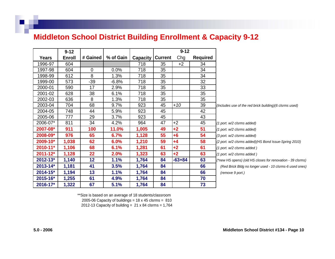#### **Middleton School District Building Enrollment & Capacity 9-12**

|               | $9 - 12$      |             |           |          |                | $9 - 12$ |                 |                                                            |
|---------------|---------------|-------------|-----------|----------|----------------|----------|-----------------|------------------------------------------------------------|
| Years         | <b>Enroll</b> | # Gained    | % of Gain | Capacity | <b>Current</b> | Chg      | <b>Required</b> |                                                            |
| 1996-97       | 604           |             |           | 718      | 35             | $+2$     | 34              |                                                            |
| 1997-98       | 604           | $\mathbf 0$ | $0.0\%$   | 718      | 35             |          | 34              |                                                            |
| 1998-99       | 612           | 8           | 1.3%      | 718      | 35             |          | 34              |                                                            |
| 1999-00       | 573           | $-39$       | $-6.8%$   | 718      | 35             |          | 32              |                                                            |
| 2000-01       | 590           | 17          | 2.9%      | 718      | 35             |          | 33              |                                                            |
| 2001-02       | 628           | 38          | 6.1%      | 718      | 35             |          | 35              |                                                            |
| 2002-03       | 636           | 8           | 1.3%      | 718      | 35             |          | 35              |                                                            |
| 2003-04       | 704           | 68          | $9.7\%$   | 923      | 45             | $+10$    | 39              | (Includes use of the red brick building) (6 clsrms used)   |
| 2004-05       | 748           | 44          | 5.9%      | 923      | 45             |          | 42              |                                                            |
| 2005-06       | 777           | 29          | 3.7%      | 923      | 45             |          | 43              |                                                            |
| 2006-07*      | 811           | 34          | 4.2%      | 964      | 47             | $+2$     | 45              | (1 port. w/2 clsrms added)                                 |
| 2007-08*      | 911           | 100         | 11.0%     | 1,005    | 49             | $+2$     | 51              | (1 port. w/2 clsrms added)                                 |
| 2008-09*      | 976           | 65          | 6.7%      | 1,128    | 55             | $+6$     | 54              | (3 port. w/2 clsrms added)                                 |
| 2009-10*      | 1,038         | 62          | 6.0%      | 1,210    | 59             | +4       | 58              | (2 port. w/2 clsrms added)(HS Bond Issue-Spring 2010)      |
| $2010 - 11$   | 1,106         | 68          | 6.1%      | 1,281    | 61             | $+2$     | 61              | (1 port. w/2 clsrms added)                                 |
| $2011 - 12$ * | 1,128         | 22          | 2.0%      | 1,323    | 63             | $+2$     | 63              | (1 port. w/2 clsrms added)                                 |
| $2012 - 13*$  | 1,140         | 12          | $1.1\%$   | 1,764    | 84             | $-63+84$ | 63              | (*new HS opens) (old HS closes for renovation - 39 clsrms) |
| $2013 - 14*$  | 1,181         | 41          | 3.5%      | 1,764    | 84             |          | 66              | (Red Brick Bldg no longer used - 10 clsrms-6 used ones)    |
| $2014 - 15$ * | 1,194         | 13          | 1.1%      | 1,764    | 84             |          | 66              | (remove 9 port.)                                           |
| 2015-16*      | 1,255         | 61          | 4.9%      | 1,764    | 84             |          | 70              |                                                            |
| 2016-17*      | 1,322         | 67          | 5.1%      | 1,764    | 84             |          | 73              |                                                            |

\*\*Size is based on an average of 18 students/classroom

2005-06 Capacity of buildings =  $18 \times 45$  clsrms =  $810$ 

2012-13 Capacity of building =  $21 \times 84$  clsrms = 1,764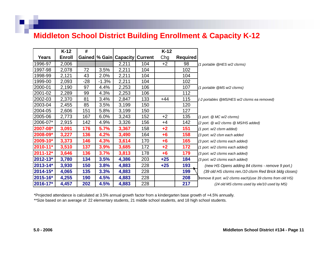## **Middleton School District Building Enrollment & Capacity K-12**

|          | $K-12$        | #     |         |                                      |     | $K-12$ |                 |                                                              |
|----------|---------------|-------|---------|--------------------------------------|-----|--------|-----------------|--------------------------------------------------------------|
| Years    | <b>Enroll</b> |       |         | Gained   % Gain   Capacity   Current |     | Chg    | <b>Required</b> |                                                              |
| 1996-97  | 2,006         |       |         | 2,211                                | 104 | $+2$   | 98              | (1 portable @HES w/2 clsrms)                                 |
| 1997-98  | 2,078         | 72    | 3.5%    | 2,211                                | 104 |        | 102             |                                                              |
| 1998-99  | 2,121         | 43    | 2.0%    | 2,211                                | 104 |        | 104             |                                                              |
| 1999-00  | 2,093         | $-28$ | $-1.3%$ | 2,211                                | 104 |        | 102             |                                                              |
| 2000-01  | 2,190         | 97    | 4.4%    | 2,253                                | 106 |        | 107             | (1 portable @MS w/2 clsrms)                                  |
| 2001-02  | 2,289         | 99    | 4.3%    | 2,253                                | 106 |        | 112             |                                                              |
| 2002-03  | 2,370         | 81    | 3.4%    | 2,847                                | 133 | $+44$  | 115             | (-2 portables @MS/HES w/2 clsrms ea removed)                 |
| 2003-04  | 2,455         | 85    | 3.5%    | 3,199                                | 150 |        | 120             |                                                              |
| 2004-05  | 2,606         | 151   | 5.8%    | 3,199                                | 150 |        | 127             |                                                              |
| 2005-06  | 2,773         | 167   | 6.0%    | 3,243                                | 152 | $+2$   | 135             | $(1$ port. $@$ MC w/2 clsrms)                                |
| 2006-07* | 2,915         | 142   | 4.9%    | 3,326                                | 156 | $+4$   | 142             | (2 port. @ w/2 clsrms @ MS/HS added)                         |
| 2007-08* | 3,091         | 176   | 5.7%    | 3,367                                | 158 | $+2$   | 151             | (1 port. w/2 clsrm added)                                    |
| 2008-09* | 3,227         | 136   | 4.2%    | 3,490                                | 164 | $+6$   | 158             | (3 port. w/2 clsm each added                                 |
| 2009-10* | 3,373         | 146   | 4.3%    | 3,614                                | 170 | $+6$   | 165             | (3 port. w/2 clsrms each added)                              |
| 2010-11* | 3,510         | 137   | 3.9%    | 3,685                                | 172 | $+2$   | 172             | (1 port. w/2 clsrms each added)                              |
| 2011-12* | 3,646         | 136   | 3.7%    | 3,813                                | 178 | $+6$   | 179             | (3 port. w/2 clsrms each added)                              |
| 2012-13* | 3,780         | 134   | 3.5%    | 4,386                                | 203 | $+25$  | 184             | (3 port. w/2 clsrms each added)                              |
| 2013-14* | 3,930         | 150   | 3.8%    | 4,883                                | 228 | $+25$  | 193             | (new HS Opens adding 84 clsrms - remove 9 port.)             |
| 2014-15* | 4,065         | 135   | 3.3%    | 4,883                                | 228 |        | 199             | (39 old HS clsrms ren./10 clsrm Red Brick bldg closes)       |
| 2015-16* | 4,255         | 190   | 4.5%    | 4,883                                | 228 |        | 208             | Yremove 8 port. w/2 clsrms each) (use 39 clsrms from old HS) |
| 2016-17* | 4,457         | 202   | 4.5%    | 4,883                                | 228 |        | 217             | (24 old MS clsrms used by ele/10 used by MS)                 |

\*\*Size based on an average of: 22 elementary students, 21 middle school students, and 18 high school students. \*Projected attendance is calculated at 3.5% annual growth factor from a kindergarten b ase growth of + 4.5% annually.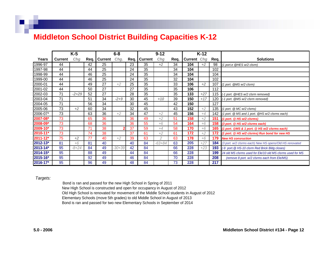#### **Middleton School District Building Capacities K-12**

|               |                | $K-5$   |        |                | $6 - 8$  |    |                | $9 - 12$       |      |             | $K-12$ |      |                                                            |
|---------------|----------------|---------|--------|----------------|----------|----|----------------|----------------|------|-------------|--------|------|------------------------------------------------------------|
| Years         | <b>Current</b> | Chg     | Req. I | <b>Current</b> | Chg.     |    | Req.   Current | Chg            | Req. | Current Chg |        | Req. | <b>Solutions</b>                                           |
| 1996-97       | 44             |         | 42     | 25             |          | 23 | 35             | $+2$           | 34   | 104         | $+2$   | 98   | (1 port.e @HES w/2 clsrm)                                  |
| 1997-98       | 44             |         | 44     | 25             |          | 24 | 35             |                | 34   | 104         |        | 102  |                                                            |
| 1998-99       | 44             |         | 46     | 25             |          | 24 | 35             |                | 34   | 104         |        | 104  |                                                            |
| 1999-00       | 44             |         | 46     | 25             |          | 24 | 35             |                | 32   | 104         |        | 102  |                                                            |
| 2000-01       | 44             |         | 49     | 27             | $+2$     | 25 | 35             |                | 33   | 106         | $+2$   | 107  | (1 port. @MS w/2 clsrm)                                    |
| 2001-02       | 44             |         | 50     | 27             |          | 27 | 35             |                | 35   | 106         |        | 112  |                                                            |
| 2002-03       | 71             | $-2+29$ | 52     | 27             |          | 28 | 35             |                | 35   | 133         | $+27$  | 115  | (-1 port. @HES w/2 clsrm removed)                          |
| 2003-04       | 71             |         | 51     | 34             | $-2+9$   | 30 | 45             | $+10$          | 39   | 150         | $+17$  | 120  | (-1 port. @MS w/2 clsrm removed)                           |
| 2004-05       | 71             |         | 56     | 34             |          | 30 | 45             |                | 42   | 150         |        | 127  |                                                            |
| 2005-06       | 73             | $+2$    | 60     | 34             |          | 32 | 45             |                | 43   | 152         | $+2$   | 135  | (1 port. @ MC w/2 clsms)                                   |
| 2006-07*      | 73             |         | 63     | 36             | $+2$     | 34 | 47             | $+2$           | 45   | 156         | $+4$   | 142  | (1 port. @ MS and 1 port. @HS w/2 clsrms each)             |
| 2007-08*      | 73             |         | 65     | 36             |          | 36 | 49             | $+2$           | 51   | 158         | $+2$   | 151  | (1 port. @ HS w/2 clsrms)                                  |
| 2008-09*      | 73             |         | 68     | 36             |          | 36 | 55             | $+6$           | 54   | 164         | $+6$   | 158  | (3 port. @ HS w/2 clsrms each)                             |
| 2009-10*      | 73             |         | 71     | 38             |          | 37 | 59             | $+4$           | 58   | 170         | $+6$   | 165  | (1 port. @MS & 1 port. @ HS w/2 clsrms each)               |
| 2010-11*      | 73             |         | 74     | 38             |          | 37 | 61             | $+2$           | 61   | 172         | $+2$   | 172  | (1 port. @ HS w/2 clsrms) Run bond for new HS              |
| $2011 - 12$ * | 75             | $+2$    | 77     | 40             | $+2$     | 39 | 63             | $\overline{2}$ | 63   | 178         | $+6$   | 179  | <b>New HS consruction</b>                                  |
| $2012 - 13*$  | 81             | $+6$    | 81     | 40             |          | 40 | 84             | $-63 + 84$     | 63   | 205         | $+27$  | 184  | (3 port. w/2 clsrms each) New HS opens/Old HS renovated    |
| 2013-14*      | 95             | $-8+24$ | 84     | 49             | $-30+39$ | 42 | 84             |                | 66   | 228         | $+23$  | 193  | (-9 port. @ HS-10 clsrm Red Brick Bldg closes)             |
| 2014-15*      | 95             |         | 88     | 49             |          | 44 | 84             |                | 66   | 228         |        | 199  | 24 old MS clsrms used for Ele/10 old MS clsrms used for MS |
| 2015-16*      | 95             |         | 92     | 49             |          | 46 | 84             |                | 70   | 228         |        | 208  | (remove 8 port. w/2 clsrms each from Ele/MS)               |
| 2016-17*      | 95             |         | 96     | 49             |          | 48 | 84             |                | 73   | 228         |        | 217  |                                                            |

#### *Targets:*

Bond is ran and passed for the new High School in Spring of 2011 Old High School is renovated for move ment of the Middle School students in August of 2012 Elementary Schools ( move 5th grades) to old Middle School in August of 2013 Bond is ran and passed for two new Elementary Schools in September of 2014 New High School is constructed and open for occupancy in August of 2012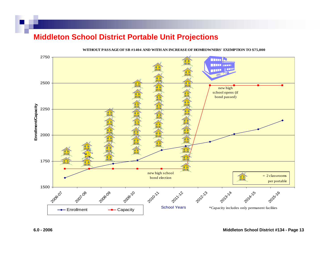#### **Middleton School District Portable Unit Projections**



**WIT HO UT P ASSAGE O F S B #1404 AND WITH AN INCREAS E O F HO MEO WNERS' EX EMP TION T O \$75,000**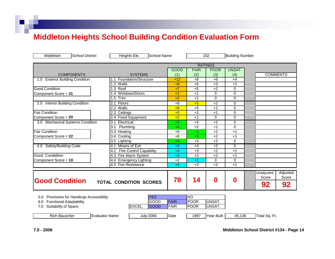#### **Middleton Heights School Building Condition Evaluation Form**

| Middleton<br><b>School District</b>           | Heights Ele.<br><b>School Name</b>    |             |             | 102            | <b>Building Number</b> |               |                 |
|-----------------------------------------------|---------------------------------------|-------------|-------------|----------------|------------------------|---------------|-----------------|
|                                               |                                       |             |             | <b>RATINGS</b> |                        |               |                 |
|                                               |                                       | <b>GOOD</b> | <b>FAIR</b> | <b>POOR</b>    | <b>UNSAT.</b>          |               |                 |
| <b>COMPONENTS</b>                             | <b>SYSTEMS</b>                        | (1)         | (2)         | (3)            | (4)                    |               | <b>COMMENTS</b> |
| 1.0 Exterior Building Condition               | 1.1 Foundation/Structure              | $+12$       | $+8$        | $+6$           | $+4$                   |               |                 |
|                                               | 1.2 Walls                             | $+8$        | $+5$        | $+3$           | $+1$                   |               |                 |
| <b>Good Condition</b>                         | 1.3 Roof                              | $+7$        | $+5$        | $+2$           | $\Omega$               |               |                 |
| Component Score = 31                          | Windows/Doors<br>1.4                  | $+2$        | $+1$        | $\mathbf 0$    | 0                      |               |                 |
|                                               | $1.5$ Trim                            | $+2$        | $+1$        | $\Omega$       | $\Omega$               |               |                 |
| 2.0 Interior Building Condition               | 2.1 Floors                            | $+8$        | $+5$        | $+2$           | $\Omega$               |               |                 |
|                                               | 2.2 Walls                             | $+8$        | $+5$        | $+1$           | $\mathbf 0$            |               |                 |
| <b>Fair Condition</b>                         | $2.3$ Ceilings                        | $+5$        | $+3$        | $+1$           | $\mathbf 0$            |               |                 |
| Component Score = 20                          | 2.4 Fixed Equipment                   | $+2$        | $+1$        | $\Omega$       | $\Omega$               |               |                 |
| 3.0 Mechanical Systems Condition              | Electrical<br>3.1                     | $+6$        | $+4$        | $+2$           | 0                      |               |                 |
|                                               | Plumbing<br>3.2                       | $+4$        | $+2$        | $+1$           | $\mathbf 0$            |               |                 |
| <b>Fair Condition</b>                         | 3.3 Heating                           | $+6$        | $+4$        | $+2$           | $+1$                   |               |                 |
| Component Score = 22                          | 3.4 Cooling                           | $+6$        | $+4$        | $+2$           | $+1$                   |               |                 |
|                                               | 3.5 Lighting                          | $+4$        | $+3$        | $+2$           | $\Omega$               |               |                 |
| 4.0 Safety/Building Code                      | 4.1 Means of Exit                     | $+6$        | $+4$        | $+2$           | $\Omega$               |               |                 |
|                                               | <b>Fire Control Capability</b><br>4.2 | $+4$        | $+3$        | $+2$           | $+1$                   |               |                 |
| Good Condidtion                               | 4.3 Fire Alarm System                 | $+4$        | $+3$        | $+2$           | $+1$                   |               |                 |
| Component Score = 19                          | 4.4 Emergency Lighting                | $+2$        | $+1$        | $\Omega$       | $\Omega$               |               |                 |
|                                               | 4.5 Fire Resistance                   | $+4$        | $+3$        | $+2$           | $+1$                   |               |                 |
|                                               |                                       |             |             |                |                        |               |                 |
|                                               |                                       |             |             |                |                        | Unadjusted    | Adjusted        |
|                                               |                                       | 78          | 14          | $\bf{0}$       | 0                      | Score         | Score           |
| <b>Good Condition</b>                         | <b>TOTAL CONDITION SCORES</b>         |             |             |                |                        | 92            | 92              |
| Provisions for Handicap Accessibility<br>5.0  | <b>YES</b>                            |             | <b>NO</b>   |                |                        |               |                 |
| <b>Functional Adaptability</b><br>6.0         | GOOD                                  | <b>FAIR</b> | <b>POOR</b> | UNSAT.         |                        |               |                 |
| Suitability of Space<br>7.0                   | <b>EXCEL</b><br><b>GOOD</b>           | <b>FAIR</b> | <b>POOR</b> | UNSAT.         |                        |               |                 |
| <b>Rich Bauscher</b><br><b>Evaluator Name</b> | <b>July-2006</b>                      | Date        | 1987        | Year Built     | 45,136                 | Total Sq. Ft. |                 |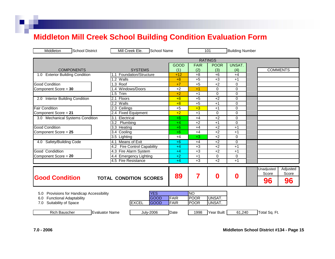#### **Middleton Mill Creek School Building Condition Evaluation Form**

| Middleton<br><b>School District</b>          | Mill Creek Ele.<br><b>School Name</b>     |             |                 | 101            | <b>Building Number</b> |               |                 |
|----------------------------------------------|-------------------------------------------|-------------|-----------------|----------------|------------------------|---------------|-----------------|
|                                              |                                           |             |                 | <b>RATINGS</b> |                        |               |                 |
|                                              |                                           | <b>GOOD</b> | <b>FAIR</b>     | <b>POOR</b>    | <b>UNSAT.</b>          |               |                 |
| <b>COMPONENTS</b>                            | <b>SYSTEMS</b>                            | (1)         | (2)             | (3)            | (4)                    |               | <b>COMMENTS</b> |
| <b>Exterior Building Condition</b><br>1.0    | 1.1 Foundation/Structure                  | $+12$       | $+8$            | $+6$           | $+4$                   |               |                 |
|                                              | 1.2 Walls                                 | $+8$        | $+5$            | $+3$           | $+1$                   |               |                 |
| Good Condition                               | 1.3 Roof                                  | $+7$        | $+5$            | $+2$           | $\mathbf 0$            |               |                 |
| Component Score = 30                         | 1.4 Windows/Doors                         | $+2$        | $+1$            | $\mathbf 0$    | $\mathbf 0$            |               |                 |
|                                              | $1.5$ Trim                                | $+2$        | $+1$            | $\Omega$       | $\Omega$               |               |                 |
| <b>Interior Building Condition</b><br>2.0    | Floors<br>2.1                             | $+8$        | $+5$            | $+2$           | $\mathbf 0$            |               |                 |
|                                              | 2.2 Walls                                 | $+8$        | $+5$            | $+1$           | $\mathbf 0$            |               |                 |
| <b>Fair Condition</b>                        | $2.3$ Ceilings                            | $+5$        | $+3$            | $+1$           | $\mathbf 0$            |               |                 |
| Component Score = 21                         | 2.4 Fixed Equipment                       | $+2$        | $+1$            | $\Omega$       | $\Omega$               |               |                 |
| 3.0 Mechanical Systems Condition             | 3.1<br>Electrical                         | $+6$        | $+4$            | $+2$           | $\mathbf 0$            |               |                 |
|                                              | 3.2<br>Plumbing                           | $+4$        | $+2$            | $+1$           | $\mathbf 0$            |               |                 |
| <b>Good Condition</b>                        | 3.3 Heating                               | $+6$        | $+4$            | $+2$           | $+1$                   |               |                 |
| Component Score = 25                         | Cooling<br>3.4                            | $+6$        | $+4$            | $+2$           | $+1$                   |               |                 |
|                                              | 3.5 Lighting                              | $+4$        | $+3$            | $+2$           | $\Omega$               |               |                 |
| Safety/Building Code<br>4.0                  | <b>Means of Exit</b><br>4.1               | $+6$        | $+4$            | $+2$           | $\mathbf 0$            |               |                 |
|                                              | <b>Fire Control Capability</b><br>4.2     | $+4$        | $+3$            | $+2$           | $+1$                   |               |                 |
| Good Condidtion                              | 4.3 Fire Alarm System                     | $+4$        | $+3$            | $+2$           | $+1$                   |               |                 |
| Component Score = 20                         | 4.4 Emergency Lighting                    | $+2$        | $+1$            | $\Omega$       | $\Omega$               |               |                 |
|                                              | 4.5 Fire Resistance                       | $+4$        | $+3$            | $+2$           | $+1$                   |               |                 |
|                                              |                                           |             |                 |                |                        | Unadjusted    | Adjusted        |
|                                              |                                           |             |                 |                |                        | Score         | Score           |
| <b>Good Condition</b>                        | <b>TOTAL CONDITION SCORES</b>             | 89          | 7               | 0              | 0                      |               |                 |
|                                              |                                           |             |                 |                |                        | 96            | 96              |
| Provisions for Handicap Accessibility<br>5.0 | <b>YES</b>                                |             | $\overline{NO}$ |                |                        |               |                 |
| <b>Functional Adaptability</b><br>6.0        | <b>GOOD</b>                               | <b>FAIR</b> | <b>POOR</b>     | UNSAT.         |                        |               |                 |
| Suitability of Space<br>7.0                  | <b>EXCEL</b><br>GOOD                      | <b>FAIR</b> | <b>POOR</b>     | UNSAT.         |                        |               |                 |
|                                              |                                           |             |                 |                |                        |               |                 |
| <b>Rich Bauscher</b>                         | <b>July-2006</b><br><b>Evaluator Name</b> | Date        | 1998            | Year Built     | 61,240                 | Total Sq. Ft. |                 |
|                                              |                                           |             |                 |                |                        |               |                 |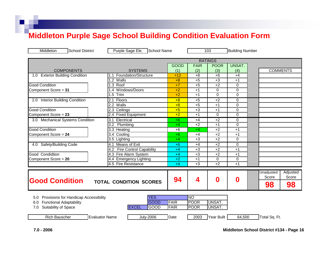## **Middleton Purple Sage School Building Condition Evaluation Form**

| Middleton<br><b>School District</b>          | Purple Sage Ele.<br>School Name           |             |             | 103              | <b>Building Number</b> |                        |
|----------------------------------------------|-------------------------------------------|-------------|-------------|------------------|------------------------|------------------------|
|                                              |                                           |             |             | <b>RATINGS</b>   |                        |                        |
|                                              |                                           | <b>GOOD</b> | <b>FAIR</b> | <b>POOR</b>      | UNSAT.                 |                        |
| <b>COMPONENTS</b>                            | <b>SYSTEMS</b>                            | (1)         | (2)         | (3)              | (4)                    | <b>COMMENTS</b>        |
| <b>Exterior Building Condition</b><br>1.0    | Foundation/Structure<br>1.1               | $+12$       | $+8$        | $+6$             | $+4$                   |                        |
|                                              | 1.2 Walls                                 | $+8$        | $+5$        | $+3$             | $+1$                   |                        |
| <b>Good Condition</b>                        | 1.3 Roof                                  | $+7$        | $+5$        | $+2$             | 0                      |                        |
| Component Score = 31                         | Windows/Doors<br>1.4                      | $+2$        | $+1$        | $\mathbf 0$      | 0                      |                        |
|                                              | 1.5 Trim                                  | $+2$        | $+1$        | $\Omega$         | $\Omega$               |                        |
| 2.0 Interior Building Condition              | Floors<br>2.1                             | $+8$        | $+5$        | $+2$             | 0                      |                        |
|                                              | 2.2<br>Walls                              | $+8$        | $+5$        | $+1$             | $\Omega$               |                        |
| <b>Good Condition</b>                        | 2.3 Ceilings                              | $+5$        | $+3$        | $+1$             | 0                      |                        |
| Component Score = 23                         | 2.4 Fixed Equipment                       | $+2$        | $+1$        | $\Omega$         | 0                      |                        |
| 3.0 Mechanical Systems Condition             | 3.1<br>Electrical                         | $+6$        | $+4$        | $+2$             | $\Omega$               |                        |
|                                              | 3.2<br>Plumbing                           | $+4$        | $+2$        | $+1$             | $\Omega$               |                        |
| <b>Good Condition</b>                        | 3.3 Heating                               | $+6$        | $+4$        | $+2$             | $+1$                   |                        |
| Component Score = 24                         | 3.4 Cooling                               | $+6$        | $+4$        | $+2$             | $+1$                   |                        |
|                                              | 3.5 Lighting                              | $+4$        | $+3$        | $+2$             | 0                      |                        |
| <b>Safety/Building Code</b><br>4.0           | Means of Exit<br>4.1                      | $+6$        | $+4$        | $+2$             | 0                      |                        |
|                                              | <b>Fire Control Capability</b><br>4.2     | $+4$        | $+3$        | $+2$             | $+1$                   |                        |
| Good Condidtion                              | 4.3 Fire Alarm System                     | $+4$        | $+3$        | $+2$             | $+1$                   |                        |
| Component Score = 20                         | 4.4 Emergency Lighting                    | $+2$        | $+1$        | $\mathbf 0$      | 0                      |                        |
|                                              | 4.5 Fire Resistance                       | $+4$        | $+3$        | $+2$             | $+1$                   |                        |
|                                              |                                           |             |             |                  |                        |                        |
|                                              |                                           |             |             |                  |                        | Unadjusted<br>Adjusted |
| <b>Good Condition</b>                        |                                           | 94          | 4           | $\boldsymbol{0}$ | 0                      | Score<br>Score         |
|                                              | <b>TOTAL CONDITION SCORES</b>             |             |             |                  |                        | 98<br>98               |
| Provisions for Handicap Accessibility<br>5.0 | <b>YES</b>                                |             | Ю           |                  |                        |                        |
| <b>Functional Adaptability</b><br>6.0        | <b>GOOD</b>                               | <b>FAIR</b> | <b>POOR</b> | UNSAT.           |                        |                        |
| Suitability of Space<br>7.0                  | <b>EXCEL</b><br>GOOD                      | <b>FAIR</b> | <b>POOR</b> | UNSAT.           |                        |                        |
|                                              |                                           |             |             |                  |                        |                        |
| <b>Rich Bauscher</b>                         | <b>Evaluator Name</b><br><b>July-2006</b> | Date        | 2003        | Year Built       | 64,500                 | Total Sq. Ft.          |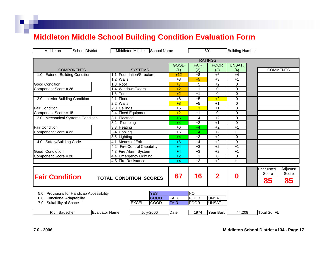# **Middleton Middle School Building Condition Evaluation Form**

| Middleton<br><b>School District</b>                                                                                  | <b>Middleton Middle</b><br><b>School Name</b>     |                     |                                         | 601              | <b>Building Number</b> |                                                      |
|----------------------------------------------------------------------------------------------------------------------|---------------------------------------------------|---------------------|-----------------------------------------|------------------|------------------------|------------------------------------------------------|
| <b>RATINGS</b>                                                                                                       |                                                   |                     |                                         |                  |                        |                                                      |
|                                                                                                                      |                                                   | <b>GOOD</b>         | <b>FAIR</b>                             | <b>POOR</b>      | UNSAT.                 |                                                      |
| <b>COMPONENTS</b>                                                                                                    | <b>SYSTEMS</b>                                    | (1)                 | (2)                                     | (3)              | (4)                    | <b>COMMENTS</b>                                      |
| <b>Exterior Building Condition</b><br>1.0                                                                            | 1.1 Foundation/Structure                          | $+12$               | $+8$                                    | $+6$             | $+4$                   |                                                      |
|                                                                                                                      | 1.2 Walls                                         | $+8$                | $+5$                                    | $+3$             | $+1$                   |                                                      |
| <b>Good Condition</b>                                                                                                | 1.3 Roof                                          | $+7$                | $+5$                                    | $+2$             | $\mathbf 0$            |                                                      |
| Component Score = 28                                                                                                 | 1.4 Windows/Doors                                 | $+2$                | $+1$                                    | 0                | $\mathbf 0$            |                                                      |
|                                                                                                                      | $1.5$ Trim                                        | $+2$                | $+1$                                    | $\Omega$         | $\Omega$               |                                                      |
| 2.0 Interior Building Condition                                                                                      | Floors<br>2.1                                     | $+8$                | $+5$                                    | $+2$             | 0                      |                                                      |
|                                                                                                                      | 2.2 Walls                                         | $+8$                | $+5$                                    | $+1$             | $\mathbf 0$            |                                                      |
| <b>Fair Condition</b>                                                                                                | 2.3 Ceilings                                      | $+5$                | $+3$                                    | $+1$             | $\mathbf 0$            |                                                      |
| Component Score = 15                                                                                                 | 2.4 Fixed Equipment                               | $+2$                | $+1$                                    | $\Omega$         | 0                      |                                                      |
| 3.0 Mechanical Systems Condition                                                                                     | Electrical<br>3.1                                 | $+6$                | $+4$                                    | $+2$             | $\mathbf 0$            |                                                      |
|                                                                                                                      | 3.2 Plumbing                                      | $+4$                | $+2$                                    | $+1$             | 0                      |                                                      |
| <b>Fair Condition</b>                                                                                                | 3.3 Heating                                       | $+6$                | $+4$                                    | $+2$             | $+1$                   |                                                      |
| Component Score = 22                                                                                                 | $\overline{3.4}$ Cooling                          | $+6$                | $+4$                                    | $+2$             | $+1$                   |                                                      |
|                                                                                                                      | 3.5 Lighting                                      | $+4$                | $+3$                                    | $+2$             | $\Omega$               |                                                      |
| 4.0 Safety/Building Code                                                                                             | <b>Means of Exit</b><br>4.1                       | $+6$                | $+4$                                    | $+2$             | 0                      |                                                      |
|                                                                                                                      | <b>Fire Control Capability</b><br>4.2             | $+4$                | $+3$                                    | $+2$             | $+1$                   |                                                      |
| Good Condidtion                                                                                                      | 4.3 Fire Alarm System                             | $+4$                | $+3$                                    | $+2$             | $+1$                   |                                                      |
| Component Score = 20                                                                                                 | 4.4 Emergency Lighting                            | $+2$                | $+1$                                    | 0                | $\mathbf 0$            |                                                      |
|                                                                                                                      | 4.5 Fire Resistance                               | $+4$                | $+3$                                    | $+2$             | $+1$                   |                                                      |
| <b>Fair Condition</b>                                                                                                | <b>TOTAL CONDITION SCORES</b>                     | 67                  | 16                                      | $\overline{2}$   | 0                      | Adjusted<br>Unadjusted<br>Score<br>Score<br>85<br>85 |
| Provisions for Handicap Accessibility<br>5.0<br><b>Functional Adaptability</b><br>6.0<br>Suitability of Space<br>7.0 | <b>YES</b><br><b>GOOD</b><br><b>EXCEL</b><br>GOOD | <b>FAIR</b><br>FAIR | <b>NO</b><br><b>POOR</b><br><b>POOR</b> | UNSAT.<br>UNSAT. |                        |                                                      |
| <b>Rich Bauscher</b>                                                                                                 | <b>July-2006</b><br><b>Evaluator Name</b>         | Date                | 1974                                    | Year Built       | 44,208                 | Total Sq. Ft.                                        |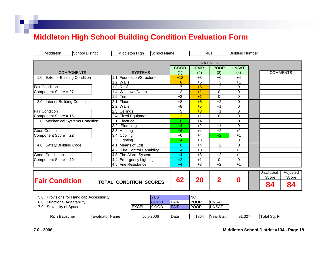#### **Middleton High School Building Condition Evaluation Form**

| Middleton<br><b>School District</b>                                                                                  | <b>School Name</b><br>Middleton High              |                     |                                               | 401              |             | <b>Building Number</b>                                      |  |
|----------------------------------------------------------------------------------------------------------------------|---------------------------------------------------|---------------------|-----------------------------------------------|------------------|-------------|-------------------------------------------------------------|--|
|                                                                                                                      |                                                   |                     |                                               | <b>RATINGS</b>   |             |                                                             |  |
|                                                                                                                      |                                                   | <b>GOOD</b>         | <b>FAIR</b>                                   | <b>POOR</b>      | UNSAT.      |                                                             |  |
| <b>COMPONENTS</b>                                                                                                    | <b>SYSTEMS</b>                                    | (1)                 | (2)                                           | (3)              | (4)         | <b>COMMENTS</b>                                             |  |
| <b>Exterior Building Condition</b><br>1.0                                                                            | 1.1 Foundation/Structure                          | $+12$               | $+8$                                          | $+6$             | $+4$        |                                                             |  |
|                                                                                                                      | 1.2 Walls                                         | $+8$                | $+5$                                          | $+3$             | $+1$        |                                                             |  |
| <b>Fair Condition</b>                                                                                                | 1.3 Roof                                          | $+7$                | $+5$                                          | $+2$             | $\Omega$    |                                                             |  |
| Component Score = 27                                                                                                 | 1.4 Windows/Doors                                 | $+2$                | $+1$                                          | $\mathbf 0$      | $\Omega$    |                                                             |  |
|                                                                                                                      | Trim<br>1.5                                       | $+2$                | $+1$                                          | $\Omega$         | $\Omega$    |                                                             |  |
| 2.0 Interior Building Condition                                                                                      | Floors<br>2.1                                     | $+8$                | $+5$                                          | $+2$             | 0           |                                                             |  |
|                                                                                                                      | 2.2 Walls                                         | $+8$                | $+5$                                          | $+1$             | 0           |                                                             |  |
| <b>Fair Condition</b>                                                                                                | 2.3 Ceilings                                      | $+5$                | $+3$                                          | $+1$             | 0           |                                                             |  |
| Component Score = 15                                                                                                 | 2.4 Fixed Equipment                               | $+2$                | $+1$                                          | $\Omega$         | 0           |                                                             |  |
| 3.0 Mechanical Systems Condition                                                                                     | 3.1 Electrical                                    | $+6$                | $+4$                                          | $+2$             | 0           |                                                             |  |
|                                                                                                                      | 3.2<br>Plumbing                                   | $+4$                | $+2$                                          | $+1$             | $\Omega$    |                                                             |  |
| <b>Good Condition</b>                                                                                                | 3.3 Heating                                       | $+6$                | $+4$                                          | $+2$             | $+1$        |                                                             |  |
| Component Score = 22                                                                                                 | 3.4 Cooling                                       | $+6$                | $+4$                                          | $+2$             | $+1$        |                                                             |  |
|                                                                                                                      | 3.5 Lighting                                      | $+4$                | $+3$                                          | $+2$             | $\mathbf 0$ |                                                             |  |
| 4.0 Safety/Building Code                                                                                             | 4.1 Means of Exit                                 | $+6$                | $+4$                                          | $+2$             | 0           |                                                             |  |
|                                                                                                                      | <b>Fire Control Capability</b><br>4.2             | $+4$                | $+3$                                          | $+2$             | $+1$        |                                                             |  |
| Good Condidtion                                                                                                      | 4.3 Fire Alarm System                             | $+4$                | $+3$                                          | $+2$             | $+1$        |                                                             |  |
| Component Score = 20                                                                                                 | <b>Emergency Lighting</b><br>4.4                  | $+2$                | $+1$                                          | $\mathbf 0$      | 0           |                                                             |  |
|                                                                                                                      | 4.5 Fire Resistance                               | $+4$                | $+3$                                          | $+2$             | $+1$        |                                                             |  |
| <b>Fair Condition</b>                                                                                                | <b>TOTAL CONDITION SCORES</b>                     | 62                  | 20                                            | $\overline{2}$   | 0           | Adjusted<br><b>Unadjusted</b><br>Score<br>Score<br>84<br>84 |  |
| Provisions for Handicap Accessibility<br>5.0<br><b>Functional Adaptability</b><br>6.0<br>Suitability of Space<br>7.0 | <b>YES</b><br><b>GOOD</b><br><b>EXCEL</b><br>GOOD | <b>FAIR</b><br>FAIR | $\overline{NO}$<br><b>POOR</b><br><b>POOR</b> | UNSAT.<br>UNSAT. |             |                                                             |  |
| <b>Rich Bauscher</b>                                                                                                 | <b>Evaluator Name</b><br><b>July-2006</b>         | Date                | 1964                                          | Year Built       | 91,327      | Total Sq. Ft.                                               |  |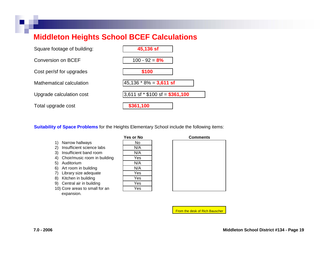#### **Middleton Heights School BCEF Calculations**

| Square footage of building: | 45,136 sf                         |
|-----------------------------|-----------------------------------|
| <b>Conversion on BCEF</b>   | $100 - 92 = 8%$                   |
| Cost per/sf for upgrades    | \$100                             |
| Mathematical calculation    | $45,136 * 8\% = 3,611$ sf         |
| Upgrade calculation cost    | 3,611 sf $*$ \$100 sf = \$361,100 |
| Total upgrade cost          | \$361,100                         |

**Suitability of Space Problems for the Heights Elementary School include the following items:** 

- 1) Narrow hallways N
- 2) Insuffici ent science labs N/A
- 3) Insufficient band room  $\vert$  N/A
- 4) Choir/music room in building
- 5) Auditorium
- 6) Art room in building
- 7) Librar y size adequate
- 8) Kitchen in building
- 9) C entral air in building Y
- 10) Core areas to sm all for an e xpansion.

| Yes or No |  |
|-----------|--|
| No        |  |
| N/A       |  |
| N/A       |  |
| Yes       |  |
| N/A       |  |
| N/A       |  |
| Yes       |  |
| Yes       |  |
| Yes       |  |
| Yes       |  |

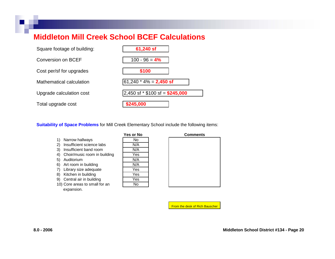#### **Middleton Mill Creek School BCEF Calculations**



**Suitability of Space Problems for Mill Creek Elementary School include the following items:** 

- 1) Narrow hallways
- 2) Insufficient science labs
- 3) Insufficient band room
- 4) Choir/music room in building
- 5) Auditorium
- 6) Art room in building
- 7) Librar y size adequate
- 8) Kitchen in building
- 9) Central air in building
- 10) Core areas to s mall for an expansion.

| <b>Yes or No</b> |  |
|------------------|--|
| No               |  |
| N/A              |  |
| N/A              |  |
| Yes              |  |
| N/A              |  |
| N/A              |  |
| Yes              |  |
| Yes              |  |
| Yes              |  |
| N٥               |  |



|  |  | <b>From the desk of Rich Bauscher</b> |
|--|--|---------------------------------------|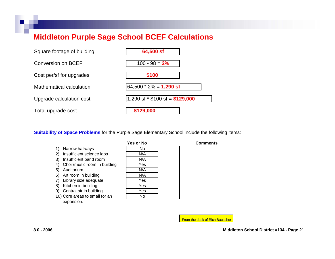#### **Middleton Purple Sage School BCEF Calculations**



**Suitability of Space Problems f**or the Purple Sage Elementary School include the following items:

- 1) Narrow hallways | N
- 2) Insufficient science labs
- 3) Insufficient band room
- 4) Choir/music room in building
- 5) Auditorium
- 6) Art room in building
- 7) Librar y size adequate
- 8) Kitchen in buil ding
- 9) Central air in buil ding
- 10) Cor e areas to s mall for an expansion.

| Yes or No |
|-----------|
| No        |
| N/A       |
| N/A       |
| Yes       |
| N/A       |
| N/A       |
| Yes       |
| Yes       |
| Yes       |
| N٥        |

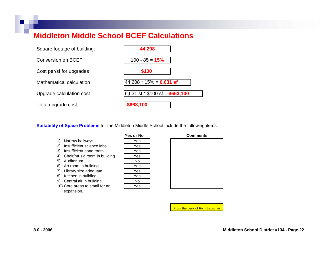#### **Middleton Middle School BCEF Calculations**

| Square footage of building: | 44,208                              |
|-----------------------------|-------------------------------------|
| Conversion on BCEF          | $100 - 85 = 15%$                    |
| Cost per/sf for upgrades    | \$100                               |
| Mathematical calculation    | $44,208 * 15\% = 6,631$ sf          |
| Upgrade calculation cost    | $6,631$ sf $*$ \$100 sf = \$663,100 |
| Total upgrade cost          | \$663,100                           |

**Suitability of Space Problems** for the Middleton Middle School include the following items:

- 1) Narro w hall ways Yes
- 2) Insufficient science labs
- 3) Insufficient band roo m
- 4) Choir/music room in building
- 5) Auditorium
- 6) Art room in building
- 7) Library size adequate
- 8) Kitchen in building
- 9) Central air in building
- 10) Cor e areas to small f or an expansion.

| Yes or No |  |
|-----------|--|
| Yes       |  |
| Yes       |  |
| Yes       |  |
| Yes       |  |
| No        |  |
| Yes       |  |
| Yes       |  |
| Yes       |  |
| No        |  |
| Yes       |  |

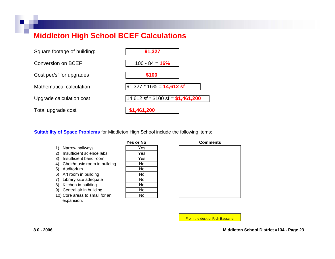#### **Middleton High School BCEF Calculations**

| Square footage of building: | 91,327                                 |
|-----------------------------|----------------------------------------|
| Conversion on BCEF          | $100 - 84 = 16%$                       |
| Cost per/sf for upgrades    | \$100                                  |
| Mathematical calculation    | 91,327 * 16% = <b>14,612 sf</b>        |
| Upgrade calculation cost    | $14,612$ sf $*$ \$100 sf = \$1,461,200 |
| Total upgrade cost          | \$1,461,200                            |

**Suitability of Space Problems** for Middleton High School include the following items:

- 1) Narrow hallways
- 2) Insufficient science labs
- 3) Insufficient band room
- 4) Choir/music room in building
- 5) Auditorium
- 6) Art room in building
- 7) Library size adequate
- 8) Kitchen in building
- 9) Central air in building
- 10) Core areas to small for an expansion.

| Yes or No |
|-----------|
| Yes       |
| Yes       |
| Yes       |
| No        |
| No        |
| No        |
| No        |
| No        |
| No        |
| No        |

| <b>Comments</b> |  |  |
|-----------------|--|--|
|                 |  |  |
|                 |  |  |
|                 |  |  |
|                 |  |  |
|                 |  |  |
|                 |  |  |
|                 |  |  |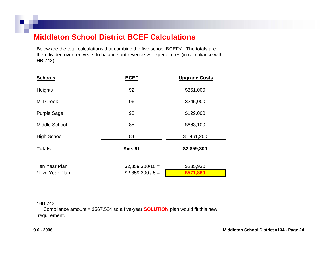#### **Middleton School District BCEF Calculations**

Below are the total calculations that combine the fiv e scho ol BCEFs'. The totals are then divided over ten years to balance out revenue vs expenditures (in compliance with H B 743).

| <b>Schools</b>     | <b>BCEF</b>        | <b>Upgrade Costs</b> |
|--------------------|--------------------|----------------------|
| Heights            | 92                 | \$361,000            |
| <b>Mill Creek</b>  | 96                 | \$245,000            |
| <b>Purple Sage</b> | 98                 | \$129,000            |
| Middle School      | 85                 | \$663,100            |
| <b>High School</b> | 84                 | \$1,461,200          |
| <b>Totals</b>      | <b>Ave. 91</b>     | \$2,859,300          |
| Ten Year Plan      | $$2,859,300/10 =$  | \$285,930            |
| *Five Year Plan    | $$2,859,300 / 5 =$ | \$571,860            |

#### \*HB 743

Compliance amount = \$567,524 so a five-year **SOLUTION** plan would fit this new req uirement.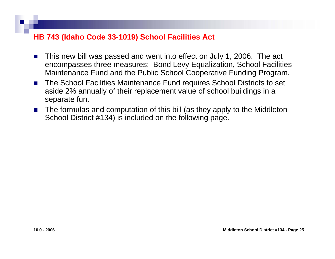#### **HB 743 (Idaho Code 33-1019) School Facilities Act**

- П This new bill was passed and went into effect on July 1, 2006. The act encompasses three measures: Bond Levy Equalization, School Facilities Maintenance Fund and the Public School Cooperative Funding Program.
- $\mathcal{L}_{\rm{max}}$  The School Facilities Maintenance Fund requires School Districts to set aside 2% annually of their replacement value of school buildings in a separate fun.
- $\mathcal{L}_{\rm{max}}$ ■ The formulas and computation of this bill (as they apply to the Middleton School District #134) is included on the following page.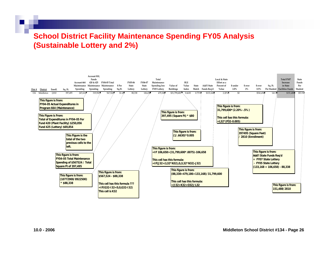#### **School District Facility Maintenance Spending FY05 Analysis (Sustainable Lottery and 2%)**